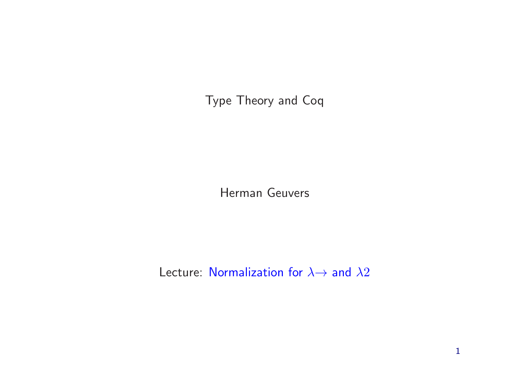Type Theory and Coq

Herman Geuvers

Lecture: Normalization for  $\lambda \rightarrow$  and  $\lambda 2$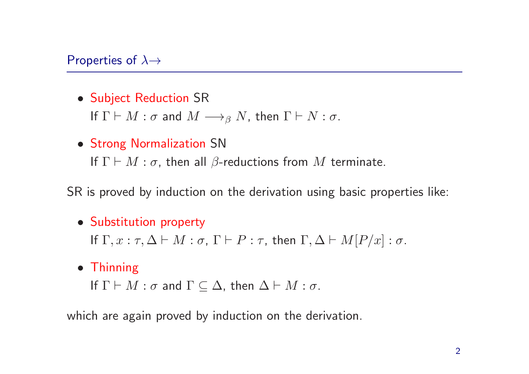#### Properties of  $\lambda \rightarrow$

• Subject Reduction SR

If  $\Gamma \vdash M : \sigma$  and  $M \longrightarrow_{\beta} N$ , then  $\Gamma \vdash N : \sigma$ .

• Strong Normalization SN If  $\Gamma \vdash M : \sigma$ , then all  $\beta$ -reductions from M terminate.

SR is proved by induction on the derivation using basic properties like:

• Substitution property

If  $\Gamma, x : \tau, \Delta \vdash M : \sigma$ ,  $\Gamma \vdash P : \tau$ , then  $\Gamma, \Delta \vdash M[P/x] : \sigma$ .

• Thinning

If  $\Gamma \vdash M : \sigma$  and  $\Gamma \subseteq \Delta$ , then  $\Delta \vdash M : \sigma$ .

which are again proved by induction on the derivation.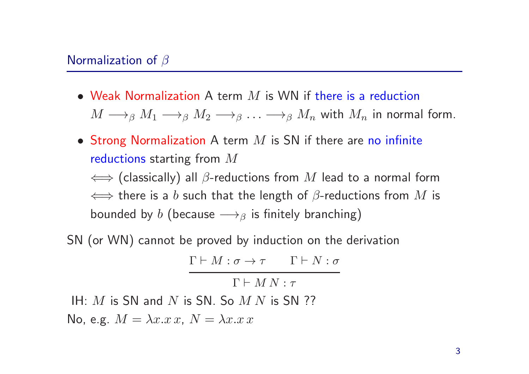- Weak Normalization A term  $M$  is WN if there is a reduction  $M \longrightarrow_{\beta} M_1 \longrightarrow_{\beta} M_2 \longrightarrow_{\beta} \ldots \longrightarrow_{\beta} M_n$  with  $M_n$  in normal form.
- Strong Normalization A term  $M$  is SN if there are no infinite reductions starting from <sup>M</sup>  $\iff$  (classically) all  $\beta$ -reductions from  $M$  lead to a normal form

 $\iff$  there is a b such that the length of  $\beta$ -reductions from  $M$  is bounded by b (because  $\longrightarrow$ <sub>β</sub> is finitely branching)

SN (or WN) cannot be proved by induction on the derivation

$$
\Gamma \vdash M : \sigma \to \tau \qquad \Gamma \vdash N : \sigma
$$

 $\Gamma \vdash M N \cdot \tau$ 

IH:  $M$  is SN and  $N$  is SN. So  $M N$  is SN ??

No, e.g.  $M = \lambda x.x$ ,  $N = \lambda x.x$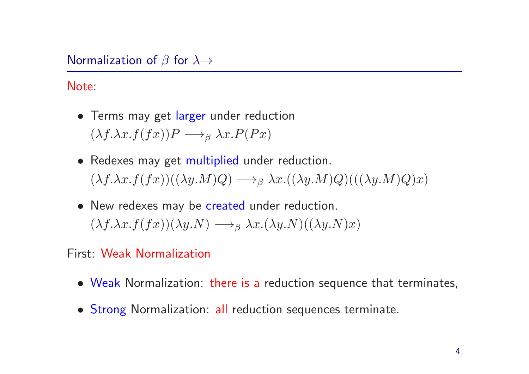# Normalization of  $\beta$  for  $\lambda \rightarrow$

Note:

- Terms may get larger under reduction  $(\lambda f. \lambda x. f(fx))P \longrightarrow_{\beta} \lambda x. P(Px)$
- Redexes may get multiplied under reduction.  $(\lambda f. \lambda x. f(fx))((\lambda y. M)Q) \longrightarrow_{\beta} \lambda x.((\lambda y. M)Q)((\lambda y. M)Q)x)$
- New redexes may be created under reduction.  $(\lambda f. \lambda x. f(fx))(\lambda y. N) \longrightarrow_{\beta} \lambda x.(\lambda y. N)((\lambda y. N)x)$

First: Weak Normalization

- Weak Normalization: there is <sup>a</sup> reduction sequence that terminates,
- Strong Normalization: all reduction sequences terminate.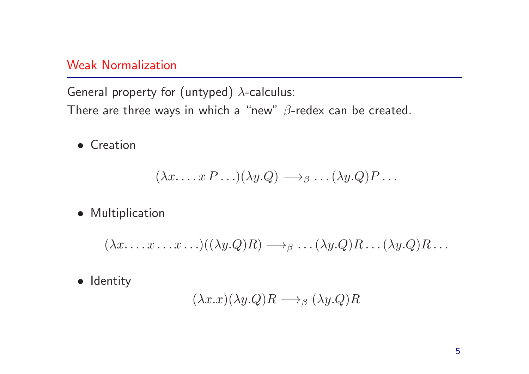# Weak Normalization

General property for (untyped)  $\lambda$ -calculus:

There are three ways in which a "new"  $\beta$ -redex can be created.

• Creation

$$
(\lambda x \ldots x P \ldots)(\lambda y.Q) \longrightarrow_{\beta} \ldots (\lambda y.Q)P \ldots
$$

• Multiplication

$$
(\lambda x.\ldots x \ldots x \ldots)((\lambda y.Q)R)\longrightarrow_{\beta}\ldots(\lambda y.Q)R\ldots(\lambda y.Q)R\ldots
$$

• Identity

$$
(\lambda x.x)(\lambda y.Q)R \longrightarrow_{\beta} (\lambda y.Q)R
$$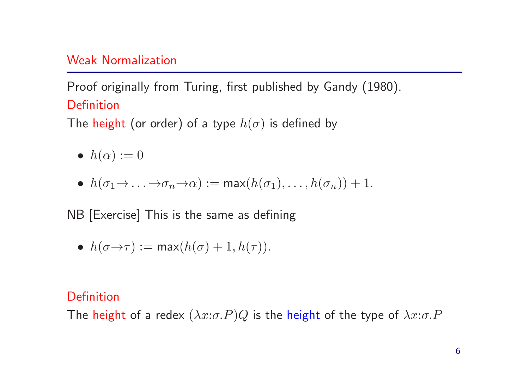## Weak Normalization

# Proof originally from Turing, first published by Gandy (1980). **Definition**

The height (or order) of a type  $h(\sigma)$  is defined by

- $h(\alpha) := 0$
- $h(\sigma_1 \rightarrow \ldots \rightarrow \sigma_n \rightarrow \alpha) := \max(h(\sigma_1), \ldots, h(\sigma_n)) + 1.$

NB [Exercise] This is the same as defining

•  $h(\sigma \rightarrow \tau) := \max(h(\sigma) + 1, h(\tau)).$ 

# **Definition**

The height of a redex  $(\lambda x:\sigma.P)Q$  is the height of the type of  $\lambda x:\sigma.P$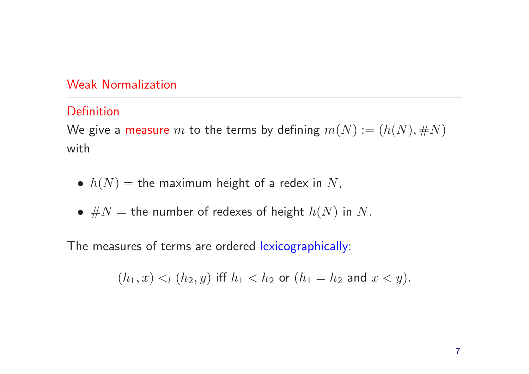# Weak Normalization

# Definition

We give a measure m to the terms by defining  $m(N) := (h(N), \#N)$ with

- $h(N)$  = the maximum height of a redex in N,
- $\#N =$  the number of redexes of height  $h(N)$  in N.

The measures of terms are ordered lexicographically:

$$
(h_1, x) <_l (h_2, y)
$$
 iff  $h_1 < h_2$  or  $(h_1 = h_2$  and  $x < y)$ .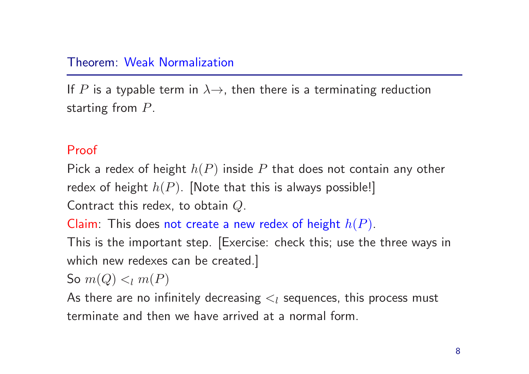#### Theorem: Weak Normalization

If P is a typable term in  $\lambda \rightarrow$ , then there is a terminating reduction starting from P.

#### Proof

Pick a redex of height  $h(P)$  inside P that does not contain any other redex of height  $h(P)$ . [Note that this is always possible!] Contract this redex, to obtain Q.

Claim: This does not create a new redex of height  $h(P)$ .

This is the important step. [Exercise: check this; use the three ways in which new redexes can be created.]

So  $m(Q) \lt_l m(P)$ 

As there are no infinitely decreasing  $\lt_l$  sequences, this process must terminate and then we have arrived at <sup>a</sup> normal form.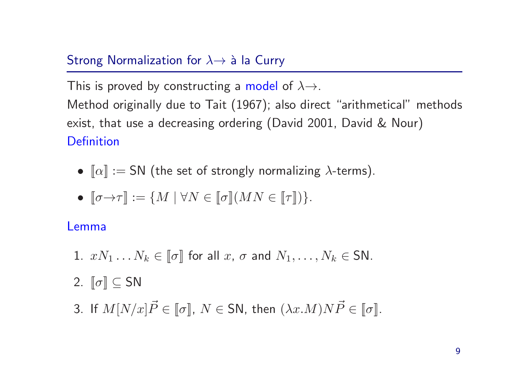# Strong Normalization for  $\lambda \rightarrow \lambda$  a la Curry

This is proved by constructing a model of  $\lambda \rightarrow$ . Method originally due to Tait (1967); also direct "arithmetical" methods exist, that use <sup>a</sup> decreasing ordering (David 2001, David & Nour) **Definition** 

- $\lbrack \lbrack \alpha \rbrack \rbrack :=$  SN (the set of strongly normalizing  $\lambda$ -terms).
- $[\![\sigma \rightarrow \tau]\!] := \{ M \mid \forall N \in [\![\sigma]\!](MN \in [\![\tau]\!]) \}.$

# Lemma

1.  $xN_1 \ldots N_k \in \llbracket \sigma \rrbracket$  for all  $x, \sigma$  and  $N_1, \ldots, N_k \in SN$ .

2.  $\llbracket \sigma \rrbracket \subseteq SN$ 

3. If  $M[N/x]\vec{P} \in \llbracket \sigma \rrbracket, \ N \in {\sf SN},$  then  $(\lambda x. M) N \vec{P} \in \llbracket \sigma \rrbracket.$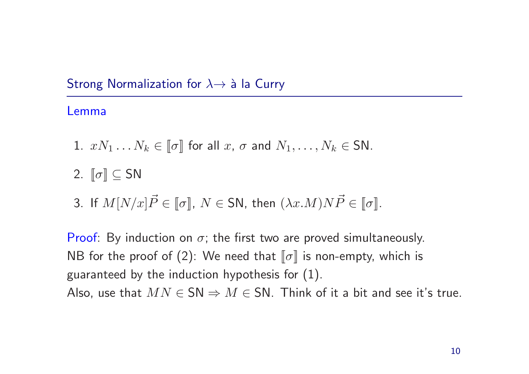# Strong Normalization for  $\lambda \rightarrow \lambda$  a la Curry

# Lemma

- 1.  $xN_1 \ldots N_k \in \llbracket \sigma \rrbracket$  for all  $x, \sigma$  and  $N_1, \ldots, N_k \in SN$ .
- 2.  $\llbracket \sigma \rrbracket \subseteq SN$
- 3. If  $M[N/x]\vec{P} \in \llbracket \sigma \rrbracket, \ N \in {\sf SN},$  then  $(\lambda x. M) N \vec{P} \in \llbracket \sigma \rrbracket.$

Proof: By induction on  $\sigma$ ; the first two are proved simultaneously. NB for the proof of (2): We need that  $\llbracket \sigma \rrbracket$  is non-empty, which is guaranteed by the induction hypothesis for (1). Also, use that  $MN \in SN \Rightarrow M \in SN$ . Think of it a bit and see it's true.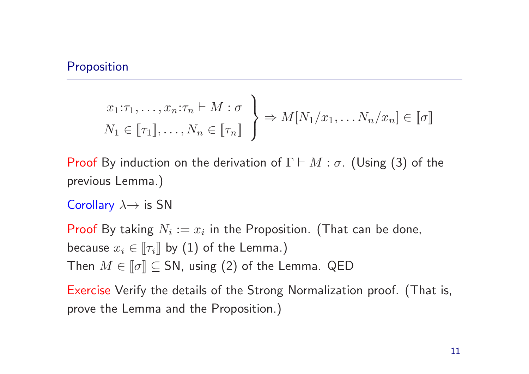#### Proposition

$$
x_1:\tau_1,\ldots,x_n:\tau_n \vdash M:\sigma
$$
  

$$
N_1 \in [\![\tau_1]\!],\ldots,N_n \in [\![\tau_n]\!]
$$
  $\Rightarrow M[N_1/x_1,\ldots,N_n/x_n] \in [\![\sigma]\!]$ 

Proof By induction on the derivation of  $\Gamma \vdash M : \sigma$ . (Using (3) of the previous Lemma.)

Corollary  $\lambda \rightarrow$  is SN

Proof By taking  $N_i := x_i$  in the Proposition. (That can be done, because  $x_i \in \llbracket \tau_i \rrbracket$  by (1) of the Lemma.) Then  $M \in \llbracket \sigma \rrbracket \subseteq SN$ , using (2) of the Lemma. QED

Exercise Verify the details of the Strong Normalization proof. (That is, prove the Lemma and the Proposition.)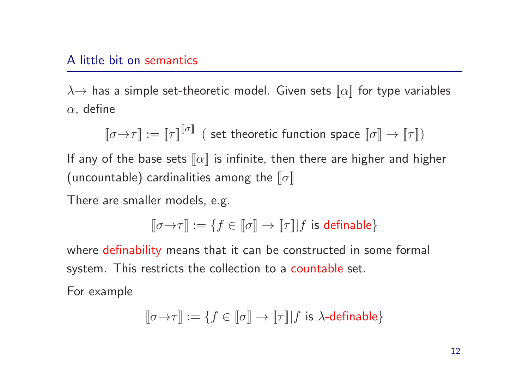#### A little bit on semantics

 $\lambda \rightarrow$  has a simple set-theoretic model. Given sets  $\llbracket \alpha \rrbracket$  for type variables  $\alpha$ , define

$$
\llbracket \sigma{\to}\tau\rrbracket:=\llbracket \tau\rrbracket^{\llbracket \sigma\rrbracket} \ \ (\text{ set theoretic function space } \llbracket \sigma\rrbracket\to \llbracket \tau\rrbracket)
$$

If any of the base sets  $\llbracket \alpha \rrbracket$  is infinite, then there are higher and higher (uncountable) cardinalities among the  $\llbracket \sigma \rrbracket$ 

There are smaller models, e.g.

$$
\llbracket \sigma{\to}\tau\rrbracket:=\{f\in\llbracket\sigma\rrbracket\to\llbracket\tau\rrbracket|f\text{ is definable}\}
$$

where definability means that it can be constructed in some formal system. This restricts the collection to <sup>a</sup> countable set.

For example

$$
\llbracket \sigma{\to}\tau\rrbracket:=\{f\in\llbracket\sigma\rrbracket\to\llbracket\tau\rrbracket|f\text{ is }\lambda\text{-definable}\}
$$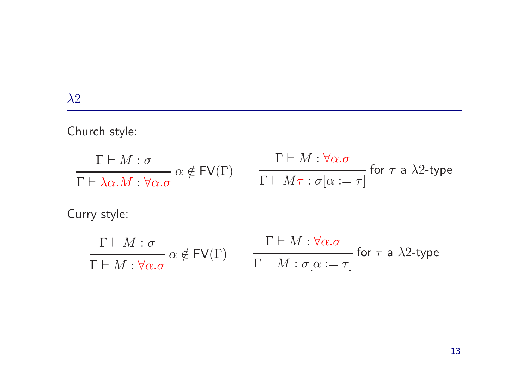Church style:

$$
\frac{\Gamma \vdash M : \sigma}{\Gamma \vdash \lambda \alpha.M : \forall \alpha.\sigma} \alpha \notin \textsf{FV}(\Gamma) \qquad \frac{\Gamma \vdash M : \forall \alpha.\sigma}{\Gamma \vdash M\tau : \sigma[\alpha := \tau]} \text{ for } \tau \text{ a } \lambda 2\text{-type}
$$

Curry style:

$$
\frac{\Gamma \vdash M : \sigma}{\Gamma \vdash M : \forall \alpha.\sigma} \alpha \notin \textsf{FV}(\Gamma) \qquad \frac{\Gamma \vdash M : \forall \alpha.\sigma}{\Gamma \vdash M : \sigma[\alpha := \tau]} \text{ for } \tau \text{ a } \lambda 2\text{-type}
$$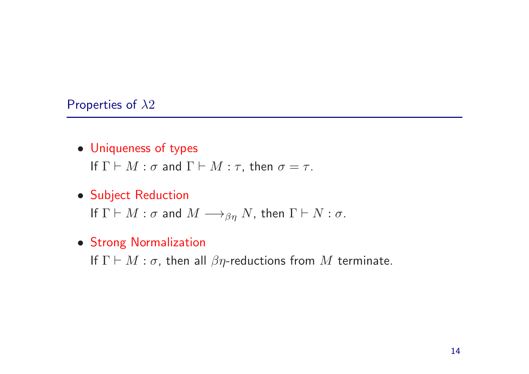#### Properties of  $\lambda 2$

- Uniqueness of types If  $\Gamma \vdash M : \sigma$  and  $\Gamma \vdash M : \tau$ , then  $\sigma = \tau$ .
- Subject Reduction

If  $\Gamma \vdash M : \sigma$  and  $M \longrightarrow_{\beta\eta} N$ , then  $\Gamma \vdash N : \sigma$ .

• Strong Normalization

If  $\Gamma \vdash M : \sigma$ , then all  $\beta\eta$ -reductions from M terminate.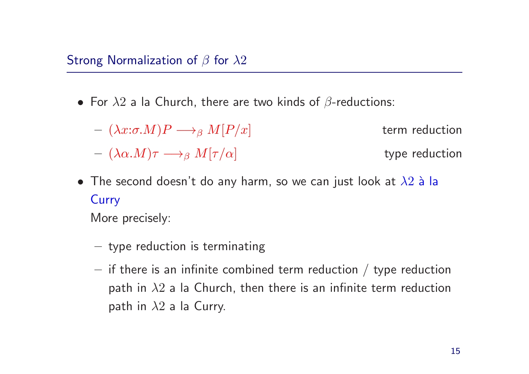- For  $\lambda 2$  a la Church, there are two kinds of  $\beta$ -reductions:
	- $(\lambda x:\sigma.M)P \longrightarrow_{\beta} M[P/x]$  term reduction  $-(\lambda \alpha.M)\tau \longrightarrow_{\beta} M[\tau/\alpha]$  type reduction
- The second doesn't do any harm, so we can just look at  $\lambda 2$  à la **Curry**

More precisely:

- type reduction is terminating
- $-$  if there is an infinite combined term reduction / type reduction path in  $\lambda 2$  a la Church, then there is an infinite term reduction path in  $\lambda 2$  a la Curry.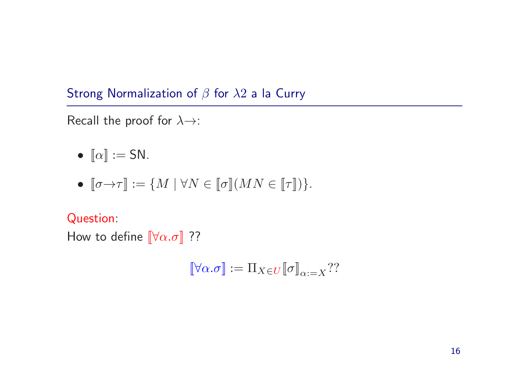Strong Normalization of  $\beta$  for  $\lambda 2$  a la Curry

Recall the proof for  $\lambda \rightarrow$ :

•  $\llbracket \alpha \rrbracket := \mathsf{SN}.$ 

$$
\bullet~~\lbrack\!\lbrack\sigma\!\!\rightarrow\!\tau\rbrack\!\rbrack:=\{M~|~\forall N\in\lbrack\!\lbrack\sigma\rbrack\!\rbrack (MN\in\lbrack\!\lbrack\tau\rbrack\!\rbrack)\}.
$$

Question:

How to define  $\llbracket \forall \alpha. \sigma \rrbracket$  ??

$$
\llbracket \forall \alpha. \sigma \rrbracket := \Pi_{X \in U} \llbracket \sigma \rrbracket_{\alpha := X} ? ?
$$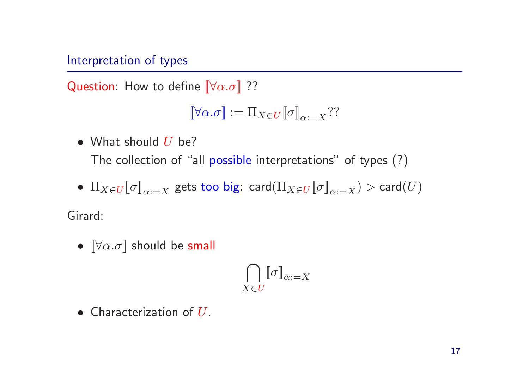## Interpretation of types

Question: How to define  $\left[\forall \alpha \ldotp \sigma\right]$  ??

$$
\llbracket \forall \alpha. \sigma \rrbracket := \Pi_{X \in U} \llbracket \sigma \rrbracket_{\alpha := X} ? ?
$$

• What should  $U$  be?

The collection of "all possible interpretations" of types (?)

•  $\Pi_{X\in U}[\![\sigma]\!]_{\alpha:=X}$  gets too big: card $(\Pi_{X\in U}[\![\sigma]\!]_{\alpha:=X})$  > card $(U)$ 

Girard:

•  $[\forall \alpha \ldotp \sigma]$  should be small

$$
\bigcap_{X \in U} [\![\sigma]\!]_{\alpha:=X}
$$

• Characterization of  $U$ .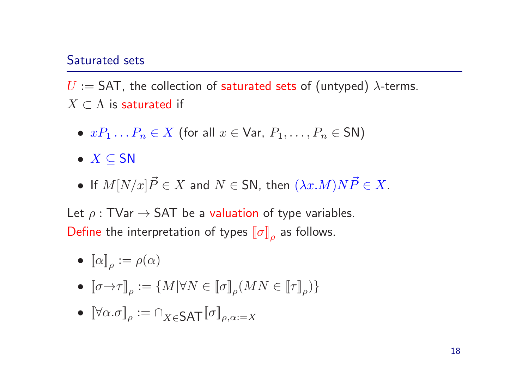#### Saturated sets

 $U := SAT$ , the collection of saturated sets of (untyped)  $\lambda$ -terms.  $X \subset \Lambda$  is saturated if

- $xP_1 \ldots P_n \in X$  (for all  $x \in \text{Var}, P_1, \ldots, P_n \in SN$ )
- $X \subseteq SN$
- $\bullet$  If  $M[N/x]\vec{P} \in X$  and  $N \in {\sf SN},$  then  $(\lambda x. M)N\vec{P} \in X.$

Let  $\rho : TVar \rightarrow SAT$  be a valuation of type variables. Define the interpretation of types  $\llbracket \sigma \rrbracket_o$  as follows.

- $[\![\alpha]\!]_{\rho} := \rho(\alpha)$
- $[\![\sigma \rightarrow \tau]\!]_o := \{M | \forall N \in [\![\sigma]\!]_o (MN \in [\![\tau]\!]_o)\}$
- $[\forall \alpha.\sigma]_{\rho} := \bigcap_{X \in \mathsf{SAT}} [\![\sigma]\!]_{\rho,\alpha:=X}$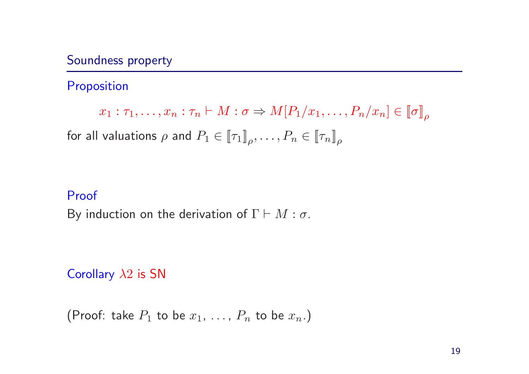# Soundness property

# Proposition

$$
x_1 : \tau_1, \dots, x_n : \tau_n \vdash M : \sigma \Rightarrow M[P_1/x_1, \dots, P_n/x_n] \in [\![\sigma]\!]_\rho
$$
  
for all valuations  $\rho$  and  $P_1 \in [\![\tau_1]\!]_\rho, \dots, P_n \in [\![\tau_n]\!]_\rho$ 

## Proof

By induction on the derivation of  $\Gamma \vdash M : \sigma$ .

Corollary  $\lambda 2$  is SN

(Proof: take  $P_1$  to be  $x_1, \ldots, P_n$  to be  $x_n$ .)